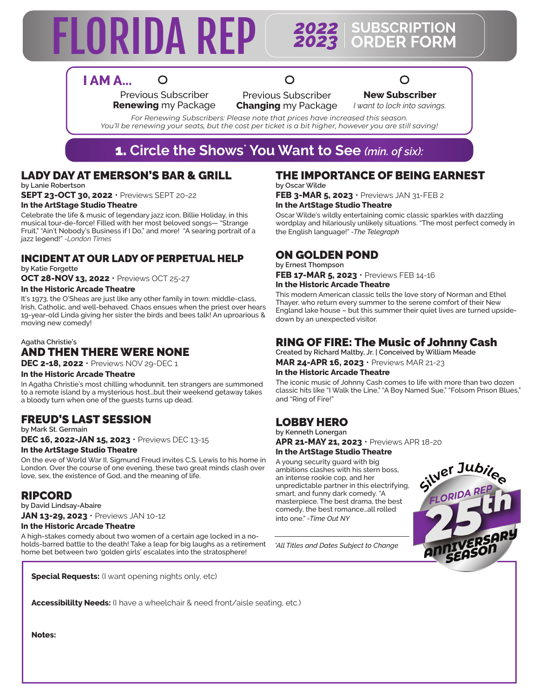# **FLORIDA REP**

#### *2023* **SUBSCRIPTION ORDER FORM**

## **I AM A...**

Previous Subscriber **Renewing** my Package

 $\Omega$ 

O Previous Subscriber **Changing** my Package ∩

**New Subscriber** *I want to lock into savings.*

*For Renewing Subscribers: Please note that prices have increased this season. You'll be renewing your seats, but the cost per ticket is a bit higher, however you are still saving!*

## 1. **Circle the Shows\* You Want to See** *(min. of six):*

## LADY DAY AT EMERSON'S BAR & GRILL

**by Lanie Robertson**

**SEPT 23-OCT 30, 2022** • Previews SEPT 20-22 **In the ArtStage Studio Theatre**

Celebrate the life & music of legendary jazz icon, Billie Holiday, in this musical tour-de-force! Filled with her most beloved songs— "Strange Fruit," "Ain't Nobody's Business if I Do," and more! "A searing portrait of a jazz legend!" *-London Times*

#### INCIDENT AT OUR LADY OF PERPETUAL HELP

**by Katie Forgette OCT 28-NOV 13, 2022** • Previews OCT 25-27

#### **In the Historic Arcade Theatre**

It's 1973, the O'Sheas are just like any other family in town: middle-class, Irish, Catholic, and well-behaved. Chaos ensues when the priest over hears 19-year-old Linda giving her sister the birds and bees talk! An uproarious & moving new comedy!

#### **Agatha Christie's** AND THEN THERE WERE NONE

**DEC 2-18, 2022** • Previews NOV 29-DEC 1

#### **In the Historic Arcade Theatre**

In Agatha Christie's most chilling whodunnit, ten strangers are summoned to a remote island by a mysterious host…but their weekend getaway takes a bloody turn when one of the guests turns up dead.

#### FREUD'S LAST SESSION

**by Mark St. Germain**

**DEC 16, 2022-JAN 15, 2023** • Previews DEC 13-15 **In the ArtStage Studio Theatre**

On the eve of World War II, Sigmund Freud invites C.S. Lewis to his home in London. Over the course of one evening, these two great minds clash over love, sex, the existence of God, and the meaning of life.

#### RIPCORD

**by David Lindsay-Abaire JAN 13-29, 2023** • Previews JAN 10-12

#### **In the Historic Arcade Theatre**

A high-stakes comedy about two women of a certain age locked in a noholds-barred battle to the death! Take a leap for big laughs as a retirement home bet between two 'golden girls' escalates into the stratosphere!

**Special Requests:** (I want opening nights only, etc)

#### THE IMPORTANCE OF BEING EARNEST **by Oscar Wilde**

**FEB 3-MAR 5, 2023** • Previews JAN 31-FEB 2 **In the ArtStage Studio Theatre**

Oscar Wilde's wildly entertaining comic classic sparkles with dazzling wordplay and hilariously unlikely situations. "The most perfect comedy in the English language!" *-The Telegraph*

#### ON GOLDEN POND

**by Ernest Thompson FEB 17-MAR 5, 2023** • Previews FEB 14-16 **In the Historic Arcade Theatre**

This modern American classic tells the love story of Norman and Ethel Thayer, who return every summer to the serene comfort of their New England lake house – but this summer their quiet lives are turned upsidedown by an unexpected visitor.

### RING OF FIRE: The Music of Johnny Cash

**Created by Richard Maltby, Jr. | Conceived by William Meade MAR 24-APR 16, 2023** • Previews MAR 21-23

#### **In the Historic Arcade Theatre**

The iconic music of Johnny Cash comes to life with more than two dozen classic hits like "I Walk the Line," "A Boy Named Sue," "Folsom Prison Blues," and "Ring of Fire!"

#### LOBBY HERO

**by Kenneth Lonergan APR 21-MAY 21, 2023** • Previews APR 18-20

#### **In the ArtStage Studio Theatre**

A young security guard with big ambitions clashes with his stern boss, an intense rookie cop, and her unpredictable partner in this electrifying, smart, and funny dark comedy. "A masterpiece. The best drama, the best comedy, the best romance…all rolled into one." *-Time Out NY*

*\*All Titles and Dates Subject to Change*



**Accessibililty Needs:** (I have a wheelchair & need front/aisle seating, etc.)

**Notes:**